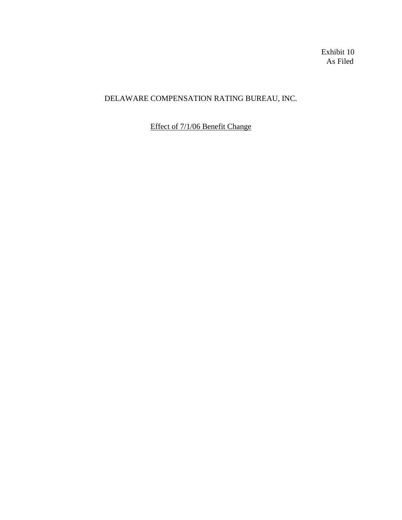Exhibit 10 As Filed

# DELAWARE COMPENSATION RATING BUREAU, INC.

Effect of 7/1/06 Benefit Change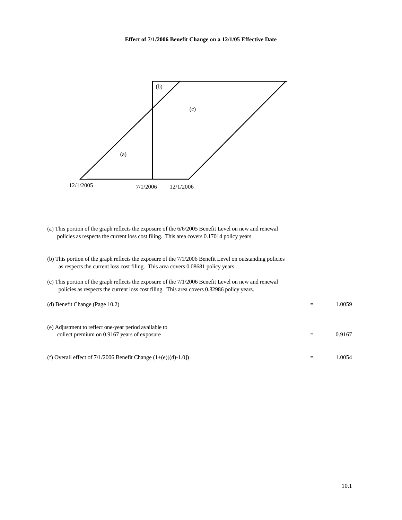

- (a) This portion of the graph reflects the exposure of the 6/6/2005 Benefit Level on new and renewal policies as respects the current loss cost filing. This area covers 0.17014 policy years.
- (b) This portion of the graph reflects the exposure of the 7/1/2006 Benefit Level on outstanding policies as respects the current loss cost filing. This area covers 0.08681 policy years.

| (c) This portion of the graph reflects the exposure of the $7/1/2006$ Benefit Level on new and renewal<br>policies as respects the current loss cost filing. This area covers 0.82986 policy years. |        |
|-----------------------------------------------------------------------------------------------------------------------------------------------------------------------------------------------------|--------|
| (d) Benefit Change (Page $10.2$ )                                                                                                                                                                   | 1.0059 |
| (e) Adjustment to reflect one-year period available to<br>collect premium on 0.9167 years of exposure                                                                                               | 0.9167 |
| (f) Overall effect of $7/1/2006$ Benefit Change $(1+(e)$ [(d)-1.0])                                                                                                                                 | 1.0054 |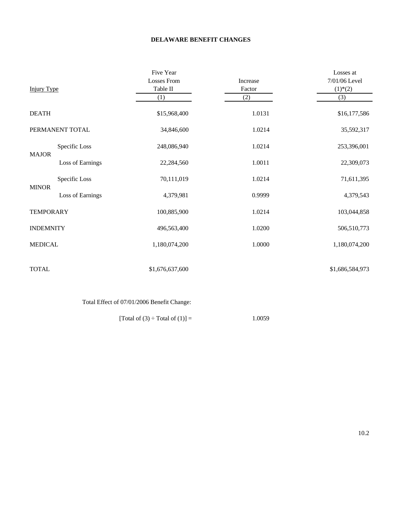### **DELAWARE BENEFIT CHANGES**

|                    |                  | Five Year          |          | Losses at                |
|--------------------|------------------|--------------------|----------|--------------------------|
|                    |                  | <b>Losses From</b> | Increase | 7/01/06 Level            |
| <b>Injury Type</b> |                  | Table II           | Factor   | $(1)$ <sup>*</sup> $(2)$ |
|                    |                  | (1)                | (2)      | (3)                      |
| <b>DEATH</b>       |                  | \$15,968,400       | 1.0131   | \$16,177,586             |
|                    | PERMANENT TOTAL  | 34,846,600         | 1.0214   | 35,592,317               |
| <b>MAJOR</b>       | Specific Loss    | 248,086,940        | 1.0214   | 253,396,001              |
|                    | Loss of Earnings | 22,284,560         | 1.0011   | 22,309,073               |
| <b>MINOR</b>       | Specific Loss    | 70,111,019         | 1.0214   | 71,611,395               |
|                    | Loss of Earnings | 4,379,981          | 0.9999   | 4,379,543                |
| <b>TEMPORARY</b>   |                  | 100,885,900        | 1.0214   | 103,044,858              |
| <b>INDEMNITY</b>   |                  | 496,563,400        | 1.0200   | 506,510,773              |
| <b>MEDICAL</b>     |                  | 1,180,074,200      | 1.0000   | 1,180,074,200            |
| <b>TOTAL</b>       |                  | \$1,676,637,600    |          | \$1,686,584,973          |

Total Effect of 07/01/2006 Benefit Change:

[Total of (3)  $\div$  Total of (1)] = 1.0059

10.2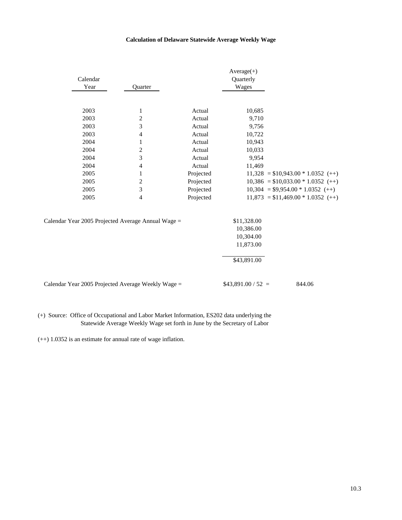### **Calculation of Delaware Statewide Average Weekly Wage**

|          |                                                    |           | $Average(+)$        |                                     |
|----------|----------------------------------------------------|-----------|---------------------|-------------------------------------|
| Calendar |                                                    |           | Quarterly           |                                     |
| Year     | Quarter                                            |           | Wages               |                                     |
|          |                                                    |           |                     |                                     |
| 2003     | 1                                                  | Actual    | 10,685              |                                     |
| 2003     | $\overline{c}$                                     | Actual    | 9,710               |                                     |
| 2003     | 3                                                  | Actual    | 9,756               |                                     |
| 2003     | 4                                                  | Actual    | 10,722              |                                     |
| 2004     | 1                                                  | Actual    | 10,943              |                                     |
| 2004     | 2                                                  | Actual    | 10,033              |                                     |
| 2004     | 3                                                  | Actual    | 9,954               |                                     |
| 2004     | 4                                                  | Actual    | 11,469              |                                     |
| 2005     | 1                                                  | Projected |                     | $11,328 = $10,943.00 * 1.0352 (++)$ |
| 2005     | 2                                                  | Projected |                     | $10,386 = $10,033.00 * 1.0352 (++)$ |
| 2005     | 3                                                  | Projected |                     | $10,304 = $9,954.00 * 1.0352 (++)$  |
| 2005     | 4                                                  | Projected |                     | $11,873 = $11,469.00 * 1.0352 (++)$ |
|          |                                                    |           |                     |                                     |
|          | Calendar Year 2005 Projected Average Annual Wage = |           | \$11,328.00         |                                     |
|          |                                                    |           | 10,386.00           |                                     |
|          |                                                    |           | 10,304.00           |                                     |
|          |                                                    |           | 11,873.00           |                                     |
|          |                                                    |           | \$43,891.00         |                                     |
|          | Calendar Year 2005 Projected Average Weekly Wage = |           | $$43,891.00 / 52 =$ | 844.06                              |
|          |                                                    |           |                     |                                     |

(+) Source: Office of Occupational and Labor Market Information, ES202 data underlying the Statewide Average Weekly Wage set forth in June by the Secretary of Labor

(++) 1.0352 is an estimate for annual rate of wage inflation.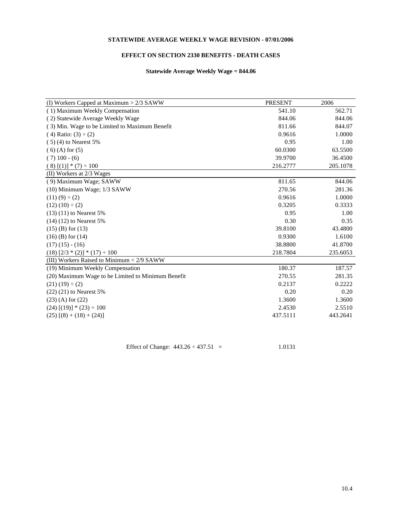### **STATEWIDE AVERAGE WEEKLY WAGE REVISION - 07/01/2006**

### **EFFECT ON SECTION 2330 BENEFITS - DEATH CASES**

### **Statewide Average Weekly Wage = 844.06**

| (I) Workers Capped at Maximum > 2/3 SAWW           | <b>PRESENT</b> | 2006     |
|----------------------------------------------------|----------------|----------|
| (1) Maximum Weekly Compensation                    | 541.10         | 562.71   |
| (2) Statewide Average Weekly Wage                  | 844.06         | 844.06   |
| (3) Min. Wage to be Limited to Maximum Benefit     | 811.66         | 844.07   |
| $(4)$ Ratio: $(3) \div (2)$                        | 0.9616         | 1.0000   |
| $(5)(4)$ to Nearest 5%                             | 0.95           | 1.00     |
| $(6)$ (A) for $(5)$                                | 60.0300        | 63.5500  |
| $(7)$ 100 - $(6)$                                  | 39.9700        | 36.4500  |
| $(8)$ [(1)] * (7) ÷ 100                            | 216.2777       | 205.1078 |
| (II) Workers at 2/3 Wages                          |                |          |
| (9) Maximum Wage; SAWW                             | 811.65         | 844.06   |
| (10) Minimum Wage; 1/3 SAWW                        | 270.56         | 281.36   |
| $(11)(9) \div (2)$                                 | 0.9616         | 1.0000   |
| $(12)(10) \div (2)$                                | 0.3205         | 0.3333   |
| $(13)$ $(11)$ to Nearest 5%                        | 0.95           | 1.00     |
| $(14)$ $(12)$ to Nearest 5%                        | 0.30           | 0.35     |
| $(15)$ (B) for $(13)$                              | 39.8100        | 43.4800  |
| $(16)$ (B) for $(14)$                              | 0.9300         | 1.6100   |
| $(17)(15) - (16)$                                  | 38.8800        | 41.8700  |
| $(18)$ $[2/3 * (2)] * (17) \div 100$               | 218.7804       | 235.6053 |
| (III) Workers Raised to Minimum < 2/9 SAWW         |                |          |
| (19) Minimum Weekly Compensation                   | 180.37         | 187.57   |
| (20) Maximum Wage to be Limited to Minimum Benefit | 270.55         | 281.35   |
| $(21)(19) \div (2)$                                | 0.2137         | 0.2222   |
| $(22)$ $(21)$ to Nearest 5%                        | 0.20           | 0.20     |
| $(23)$ (A) for $(22)$                              | 1.3600         | 1.3600   |
| $(24)$ [(19)] * (23) $\div$ 100                    | 2.4530         | 2.5510   |
| $(25)$ $[(8) + (18) + (24)]$                       | 437.5111       | 443.2641 |
|                                                    |                |          |

Effect of Change:  $443.26 \div 437.51 = 1.0131$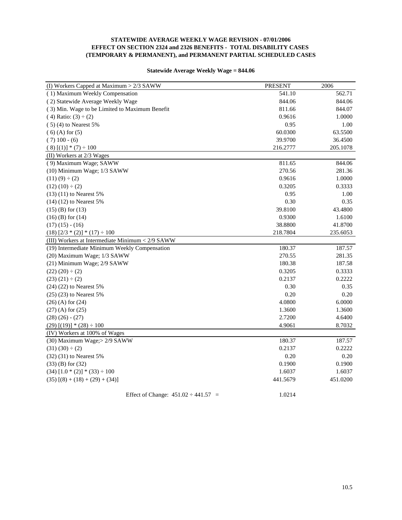### **STATEWIDE AVERAGE WEEKLY WAGE REVISION - 07/01/2006 EFFECT ON SECTION 2324 and 2326 BENEFITS - TOTAL DISABILITY CASES (TEMPORARY & PERMANENT), and PERMANENT PARTIAL SCHEDULED CASES**

| (I) Workers Capped at Maximum > 2/3 SAWW         | <b>PRESENT</b> | 2006     |
|--------------------------------------------------|----------------|----------|
| (1) Maximum Weekly Compensation                  | 541.10         | 562.71   |
| (2) Statewide Average Weekly Wage                | 844.06         | 844.06   |
| (3) Min. Wage to be Limited to Maximum Benefit   | 811.66         | 844.07   |
| $(4)$ Ratio: $(3) \div (2)$                      | 0.9616         | 1.0000   |
| $(5)(4)$ to Nearest 5%                           | 0.95           | 1.00     |
| $(6)$ (A) for $(5)$                              | 60.0300        | 63.5500  |
| $(7)$ 100 - $(6)$                                | 39.9700        | 36.4500  |
| $(8)$ [(1)] * (7) ÷ 100                          | 216.2777       | 205.1078 |
| (II) Workers at 2/3 Wages                        |                |          |
| (9) Maximum Wage; SAWW                           | 811.65         | 844.06   |
| (10) Minimum Wage; 1/3 SAWW                      | 270.56         | 281.36   |
| $(11)(9) \div (2)$                               | 0.9616         | 1.0000   |
| $(12)(10) \div (2)$                              | 0.3205         | 0.3333   |
| $(13)$ $(11)$ to Nearest 5%                      | 0.95           | 1.00     |
| $(14)$ $(12)$ to Nearest 5%                      | 0.30           | 0.35     |
| $(15)$ (B) for $(13)$                            | 39.8100        | 43.4800  |
| $(16)$ (B) for $(14)$                            | 0.9300         | 1.6100   |
| $(17)(15) - (16)$                                | 38.8800        | 41.8700  |
| $(18)$ $[2/3 * (2)] * (17) \div 100$             | 218.7804       | 235.6053 |
| (III) Workers at Intermediate Minimum < 2/9 SAWW |                |          |
| (19) Intermediate Minimum Weekly Compensation    | 180.37         | 187.57   |
| (20) Maximum Wage; 1/3 SAWW                      | 270.55         | 281.35   |
| (21) Minimum Wage; 2/9 SAWW                      | 180.38         | 187.58   |
| $(22)(20) \div (2)$                              | 0.3205         | 0.3333   |
| $(23)(21) \div (2)$                              | 0.2137         | 0.2222   |
| (24) (22) to Nearest 5%                          | 0.30           | 0.35     |
| $(25)$ $(23)$ to Nearest 5%                      | 0.20           | 0.20     |
| $(26)$ (A) for $(24)$                            | 4.0800         | 6.0000   |
| $(27)$ (A) for $(25)$                            | 1.3600         | 1.3600   |
| $(28)(26) - (27)$                                | 2.7200         | 4.6400   |
| $(29)$ [(19)] * (28) ÷ 100                       | 4.9061         | 8.7032   |
| (IV) Workers at 100% of Wages                    |                |          |
| (30) Maximum Wage; > 2/9 SAWW                    | 180.37         | 187.57   |
| $(31)(30) \div (2)$                              | 0.2137         | 0.2222   |
| (32) (31) to Nearest 5%                          | 0.20           | 0.20     |
| $(33)$ (B) for $(32)$                            | 0.1900         | 0.1900   |
| $(34)$ $[1.0 * (2)] * (33) \div 100$             | 1.6037         | 1.6037   |
| $(35)$ $[(8) + (18) + (29) + (34)]$              | 441.5679       | 451.0200 |
|                                                  |                |          |

### **Statewide Average Weekly Wage = 844.06**

Effect of Change:  $451.02 \div 441.57 = 1.0214$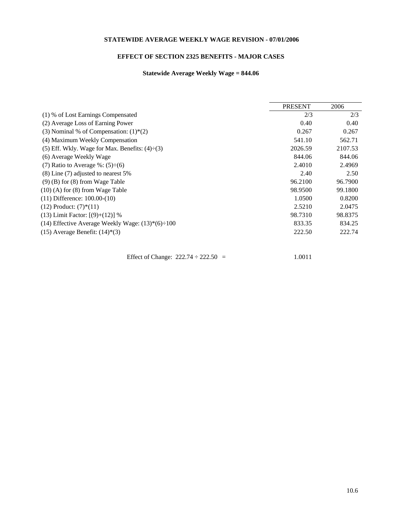### **STATEWIDE AVERAGE WEEKLY WAGE REVISION - 07/01/2006**

# **EFFECT OF SECTION 2325 BENEFITS - MAJOR CASES**

# **Statewide Average Weekly Wage = 844.06**

|                                                         | <b>PRESENT</b> | 2006    |
|---------------------------------------------------------|----------------|---------|
|                                                         |                |         |
| (1) % of Lost Earnings Compensated                      | 2/3            | 2/3     |
| (2) Average Loss of Earning Power                       | 0.40           | 0.40    |
| (3) Nominal % of Compensation: $(1)$ <sup>*</sup> $(2)$ | 0.267          | 0.267   |
| (4) Maximum Weekly Compensation                         | 541.10         | 562.71  |
| (5) Eff. Wkly. Wage for Max. Benefits: $(4) \div (3)$   | 2026.59        | 2107.53 |
| (6) Average Weekly Wage                                 | 844.06         | 844.06  |
| (7) Ratio to Average %: $(5) \div (6)$                  | 2.4010         | 2.4969  |
| $(8)$ Line $(7)$ adjusted to nearest 5%                 | 2.40           | 2.50    |
| $(9)$ (B) for (8) from Wage Table                       | 96.2100        | 96.7900 |
| $(10)$ (A) for $(8)$ from Wage Table                    | 98.9500        | 99.1800 |
| $(11)$ Difference: $100.00-(10)$                        | 1.0500         | 0.8200  |
| $(12)$ Product: $(7)$ <sup>*</sup> $(11)$               | 2.5210         | 2.0475  |
| $(13)$ Limit Factor: $[(9)+(12)]$ %                     | 98.7310        | 98.8375 |
| (14) Effective Average Weekly Wage: $(13)*(6)\div 100$  | 833.35         | 834.25  |
| $(15)$ Average Benefit: $(14)$ <sup>*</sup> $(3)$       | 222.50         | 222.74  |
|                                                         |                |         |

Effect of Change:  $222.74 \div 222.50 = 1.0011$ 

10.6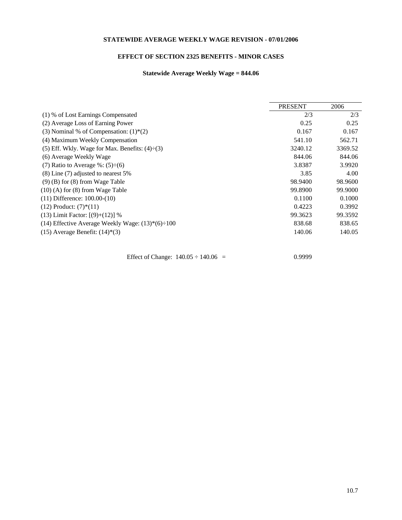### **STATEWIDE AVERAGE WEEKLY WAGE REVISION - 07/01/2006**

# **EFFECT OF SECTION 2325 BENEFITS - MINOR CASES**

# **Statewide Average Weekly Wage = 844.06**

|                                                         | <b>PRESENT</b> | 2006    |
|---------------------------------------------------------|----------------|---------|
|                                                         |                |         |
| (1) % of Lost Earnings Compensated                      | 2/3            | 2/3     |
| (2) Average Loss of Earning Power                       | 0.25           | 0.25    |
| (3) Nominal % of Compensation: $(1)$ <sup>*</sup> $(2)$ | 0.167          | 0.167   |
| (4) Maximum Weekly Compensation                         | 541.10         | 562.71  |
| (5) Eff. Wkly. Wage for Max. Benefits: $(4) \div (3)$   | 3240.12        | 3369.52 |
| (6) Average Weekly Wage                                 | 844.06         | 844.06  |
| (7) Ratio to Average %: $(5) \div (6)$                  | 3.8387         | 3.9920  |
| $(8)$ Line $(7)$ adjusted to nearest 5%                 | 3.85           | 4.00    |
| $(9)$ (B) for (8) from Wage Table                       | 98.9400        | 98.9600 |
| $(10)$ (A) for $(8)$ from Wage Table                    | 99.8900        | 99.9000 |
| $(11)$ Difference: $100.00-(10)$                        | 0.1100         | 0.1000  |
| $(12)$ Product: $(7)$ <sup>*</sup> $(11)$               | 0.4223         | 0.3992  |
| $(13)$ Limit Factor: $[(9)+(12)]$ %                     | 99.3623        | 99.3592 |
| (14) Effective Average Weekly Wage: $(13)*(6)\div 100$  | 838.68         | 838.65  |
| $(15)$ Average Benefit: $(14)$ <sup>*</sup> $(3)$       | 140.06         | 140.05  |
|                                                         |                |         |

Effect of Change:  $140.05 \div 140.06 = 0.9999$ 

10.7